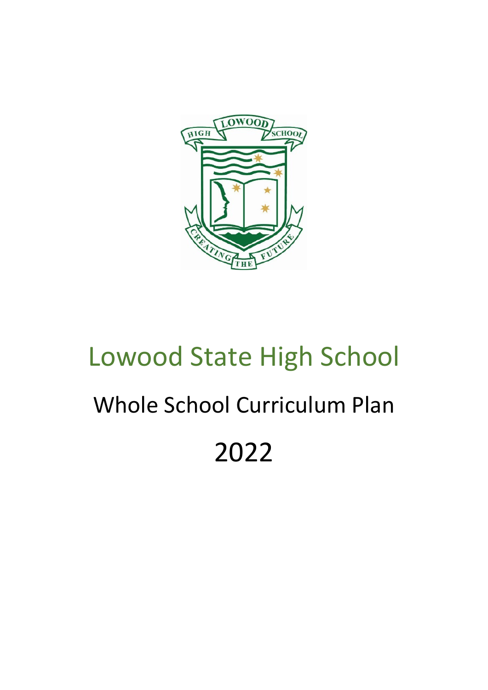

# Lowood State High School Whole School Curriculum Plan 2022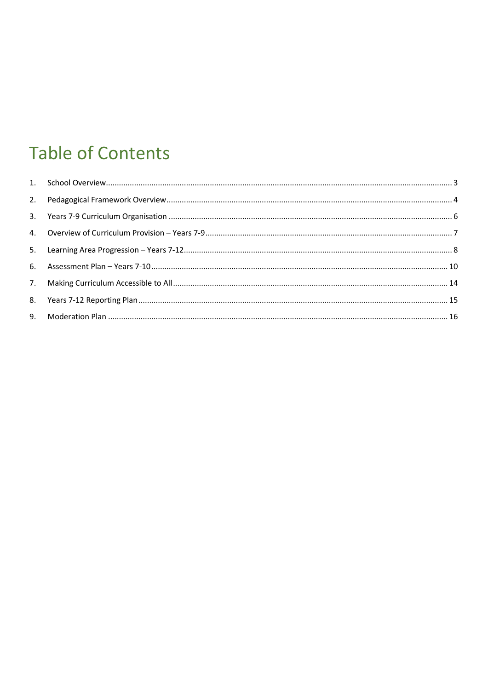### **Table of Contents**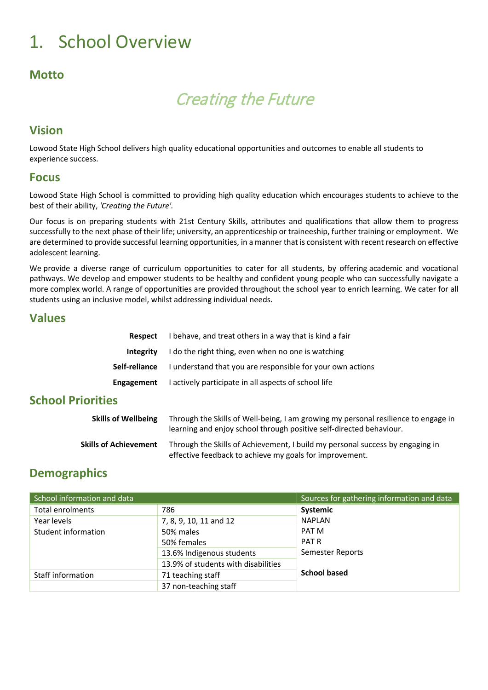### <span id="page-2-0"></span>1. School Overview

### **Motto**

### Creating the Future

### **Vision**

Lowood State High School delivers high quality educational opportunities and outcomes to enable all students to experience success.

#### **Focus**

Lowood State High School is committed to providing high quality education which encourages students to achieve to the best of their ability, *'Creating the Future'.* 

Our focus is on preparing students with 21st Century Skills, attributes and qualifications that allow them to progress successfully to the next phase of their life; university, an apprenticeship or traineeship, further training or employment. We are determined to provide successful learning opportunities, in a manner that is consistent with recent research on effective adolescent learning.

We provide a diverse range of curriculum opportunities to cater for all students, by offering academic and vocational pathways. We develop and empower students to be healthy and confident young people who can successfully navigate a more complex world. A range of opportunities are provided throughout the school year to enrich learning. We cater for all students using an inclusive model, whilst addressing individual needs.

#### **Values**

| Respect          | I behave, and treat others in a way that is kind a fair                         |
|------------------|---------------------------------------------------------------------------------|
| <b>Integrity</b> | I do the right thing, even when no one is watching                              |
|                  | <b>Self-reliance</b> I understand that you are responsible for your own actions |
| Engagement       | I actively participate in all aspects of school life                            |
|                  |                                                                                 |

#### **School Priorities**

| <b>Skills of Wellbeing</b>   | Through the Skills of Well-being, I am growing my personal resilience to engage in<br>learning and enjoy school through positive self-directed behaviour. |
|------------------------------|-----------------------------------------------------------------------------------------------------------------------------------------------------------|
| <b>Skills of Achievement</b> | Through the Skills of Achievement, I build my personal success by engaging in<br>effective feedback to achieve my goals for improvement.                  |

#### **Demographics**

| School information and data | Sources for gathering information and data |                     |  |
|-----------------------------|--------------------------------------------|---------------------|--|
| <b>Total enrolments</b>     | 786                                        | Systemic            |  |
| Year levels                 | 7, 8, 9, 10, 11 and 12                     | <b>NAPLAN</b>       |  |
| Student information         | 50% males                                  | PAT M               |  |
|                             | 50% females                                | <b>PATR</b>         |  |
|                             | 13.6% Indigenous students                  | Semester Reports    |  |
|                             | 13.9% of students with disabilities        |                     |  |
| Staff information           | 71 teaching staff                          | <b>School based</b> |  |
|                             | 37 non-teaching staff                      |                     |  |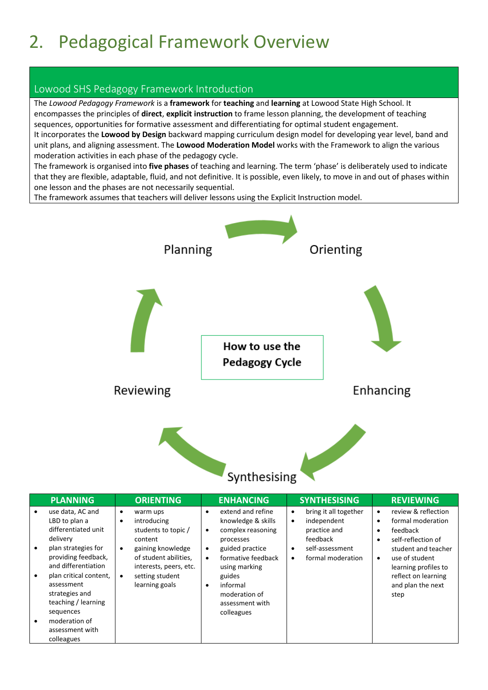# <span id="page-3-0"></span>2. Pedagogical Framework Overview

#### Lowood SHS Pedagogy Framework Introduction

The *Lowood Pedagogy Framework* is a **framework** for **teaching** and **learning** at Lowood State High School. It encompasses the principles of **direct**, **explicit instruction** to frame lesson planning, the development of teaching sequences, opportunities for formative assessment and differentiating for optimal student engagement. It incorporates the **Lowood by Design** backward mapping curriculum design model for developing year level, band and unit plans, and aligning assessment. The **Lowood Moderation Model** works with the Framework to align the various moderation activities in each phase of the pedagogy cycle.

The framework is organised into **five phases** of teaching and learning. The term 'phase' is deliberately used to indicate that they are flexible, adaptable, fluid, and not definitive. It is possible, even likely, to move in and out of phases within one lesson and the phases are not necessarily sequential.

The framework assumes that teachers will deliver lessons using the Explicit Instruction model.



| <b>PLANNING</b>                                                                                                                                                                                                                                                                           | <b>ORIENTING</b>                                                                                                                                                                                                   | <b>ENHANCING</b>                                                                                                                                                                                                                                                     | <b>SYNTHESISING</b>                                                                                                                                          | <b>REVIEWING</b>                                                                                                                                                                                                  |
|-------------------------------------------------------------------------------------------------------------------------------------------------------------------------------------------------------------------------------------------------------------------------------------------|--------------------------------------------------------------------------------------------------------------------------------------------------------------------------------------------------------------------|----------------------------------------------------------------------------------------------------------------------------------------------------------------------------------------------------------------------------------------------------------------------|--------------------------------------------------------------------------------------------------------------------------------------------------------------|-------------------------------------------------------------------------------------------------------------------------------------------------------------------------------------------------------------------|
| use data, AC and<br>LBD to plan a<br>differentiated unit<br>delivery<br>plan strategies for<br>providing feedback,<br>and differentiation<br>plan critical content,<br>assessment<br>strategies and<br>teaching / learning<br>sequences<br>moderation of<br>assessment with<br>colleagues | warm ups<br>٠<br>introducing<br>$\bullet$<br>students to topic /<br>content<br>gaining knowledge<br>$\bullet$<br>of student abilities,<br>interests, peers, etc.<br>setting student<br>$\bullet$<br>learning goals | extend and refine<br>٠<br>knowledge & skills<br>complex reasoning<br>$\bullet$<br>processes<br>guided practice<br>$\bullet$<br>formative feedback<br>$\bullet$<br>using marking<br>guides<br>informal<br>$\bullet$<br>moderation of<br>assessment with<br>colleagues | bring it all together<br>$\bullet$<br>independent<br>$\bullet$<br>practice and<br>feedback<br>self-assessment<br>$\bullet$<br>formal moderation<br>$\bullet$ | review & reflection<br>٠<br>formal moderation<br>feedback<br>self-reflection of<br>student and teacher<br>use of student<br>$\bullet$<br>learning profiles to<br>reflect on learning<br>and plan the next<br>step |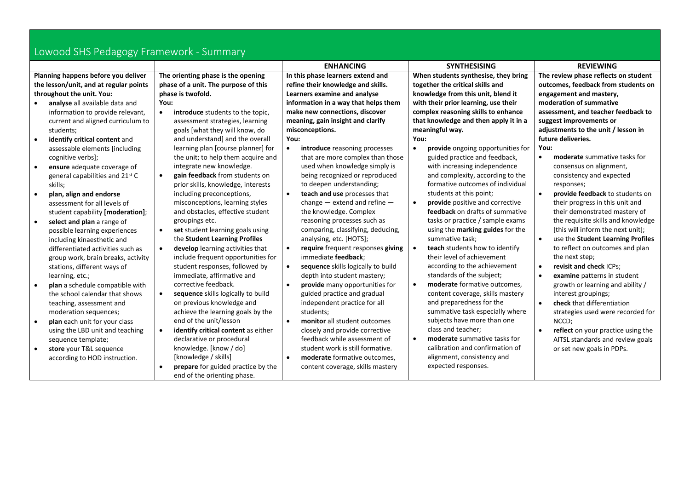| Lowood SHS Pedagogy Framework - Summary |                                                  |                                                 |                                                |                                                 |  |  |  |
|-----------------------------------------|--------------------------------------------------|-------------------------------------------------|------------------------------------------------|-------------------------------------------------|--|--|--|
|                                         |                                                  | <b>ENHANCING</b>                                | <b>SYNTHESISING</b>                            | <b>REVIEWING</b>                                |  |  |  |
| Planning happens before you deliver     | The orienting phase is the opening               | In this phase learners extend and               | When students synthesise, they bring           | The review phase reflects on student            |  |  |  |
| the lesson/unit, and at regular points  | phase of a unit. The purpose of this             | refine their knowledge and skills.              | together the critical skills and               | outcomes, feedback from students on             |  |  |  |
| throughout the unit. You:               | phase is twofold.                                | Learners examine and analyse                    | knowledge from this unit, blend it             | engagement and mastery,                         |  |  |  |
| analyse all available data and          | You:                                             | information in a way that helps them            | with their prior learning, use their           | moderation of summative                         |  |  |  |
| information to provide relevant,        | introduce students to the topic.<br>$\bullet$    | make new connections, discover                  | complex reasoning skills to enhance            | assessment, and teacher feedback to             |  |  |  |
| current and aligned curriculum to       | assessment strategies, learning                  | meaning, gain insight and clarify               | that knowledge and then apply it in a          | suggest improvements or                         |  |  |  |
| students;                               | goals [what they will know, do                   | misconceptions.                                 | meaningful way.                                | adjustments to the unit / lesson in             |  |  |  |
| identify critical content and           | and understand] and the overall                  | You:                                            | You:                                           | future deliveries.                              |  |  |  |
| assessable elements [including          | learning plan [course planner] for               | introduce reasoning processes                   | provide ongoing opportunities for<br>$\bullet$ | You:                                            |  |  |  |
| cognitive verbs];                       | the unit; to help them acquire and               | that are more complex than those                | guided practice and feedback,                  | moderate summative tasks for<br>$\bullet$       |  |  |  |
| ensure adequate coverage of             | integrate new knowledge.                         | used when knowledge simply is                   | with increasing independence                   | consensus on alignment,                         |  |  |  |
| general capabilities and 21st C         | gain feedback from students on<br>$\bullet$      | being recognized or reproduced                  | and complexity, according to the               | consistency and expected                        |  |  |  |
| skills;                                 | prior skills, knowledge, interests               | to deepen understanding;                        | formative outcomes of individual               | responses;                                      |  |  |  |
| plan, align and endorse                 | including preconceptions,                        | teach and use processes that<br>$\bullet$       | students at this point;                        | provide feedback to students on                 |  |  |  |
| assessment for all levels of            | misconceptions, learning styles                  | change $-$ extend and refine $-$                | provide positive and corrective                | their progress in this unit and                 |  |  |  |
| student capability [moderation];        | and obstacles, effective student                 | the knowledge. Complex                          | feedback on drafts of summative                | their demonstrated mastery of                   |  |  |  |
| select and plan a range of              | groupings etc.                                   | reasoning processes such as                     | tasks or practice / sample exams               | the requisite skills and knowledge              |  |  |  |
| possible learning experiences           | set student learning goals using<br>$\bullet$    | comparing, classifying, deducing,               | using the marking guides for the               | [this will inform the next unit];               |  |  |  |
| including kinaesthetic and              | the Student Learning Profiles                    | analysing, etc. [HOTS];                         | summative task:                                | $\bullet$<br>use the Student Learning Profiles  |  |  |  |
| differentiated activities such as       | develop learning activities that<br>$\bullet$    | require frequent responses giving<br>$\bullet$  | teach students how to identify                 | to reflect on outcomes and plan                 |  |  |  |
| group work, brain breaks, activity      | include frequent opportunities for               | immediate feedback;                             | their level of achievement                     | the next step;                                  |  |  |  |
| stations, different ways of             | student responses, followed by                   | sequence skills logically to build<br>$\bullet$ | according to the achievement                   | revisit and check ICPs;<br>$\bullet$            |  |  |  |
| learning, etc.;                         | immediate, affirmative and                       | depth into student mastery;                     | standards of the subject;                      | examine patterns in student<br>$\bullet$        |  |  |  |
| plan a schedule compatible with         | corrective feedback.                             | provide many opportunities for<br>$\bullet$     | moderate formative outcomes,<br>$\bullet$      | growth or learning and ability /                |  |  |  |
| the school calendar that shows          | sequence skills logically to build<br>$\bullet$  | guided practice and gradual                     | content coverage, skills mastery               | interest groupings;                             |  |  |  |
| teaching, assessment and                | on previous knowledge and                        | independent practice for all                    | and preparedness for the                       | check that differentiation<br>$\bullet$         |  |  |  |
| moderation sequences;                   | achieve the learning goals by the                | students;                                       | summative task especially where                | strategies used were recorded for               |  |  |  |
| plan each unit for your class           | end of the unit/lesson                           | monitor all student outcomes<br>$\bullet$       | subjects have more than one                    | NCCD;                                           |  |  |  |
| using the LBD unit and teaching         | identify critical content as either<br>$\bullet$ | closely and provide corrective                  | class and teacher;                             | reflect on your practice using the<br>$\bullet$ |  |  |  |
| sequence template;                      | declarative or procedural                        | feedback while assessment of                    | moderate summative tasks for                   | AITSL standards and review goals                |  |  |  |
| store your T&L sequence                 | knowledge. [know / do]                           | student work is still formative.                | calibration and confirmation of                | or set new goals in PDPs.                       |  |  |  |
| according to HOD instruction.           | [knowledge / skills]                             | moderate formative outcomes,<br>$\bullet$       | alignment, consistency and                     |                                                 |  |  |  |
|                                         | prepare for guided practice by the<br>$\bullet$  | content coverage, skills mastery                | expected responses.                            |                                                 |  |  |  |
|                                         | end of the orienting phase.                      |                                                 |                                                |                                                 |  |  |  |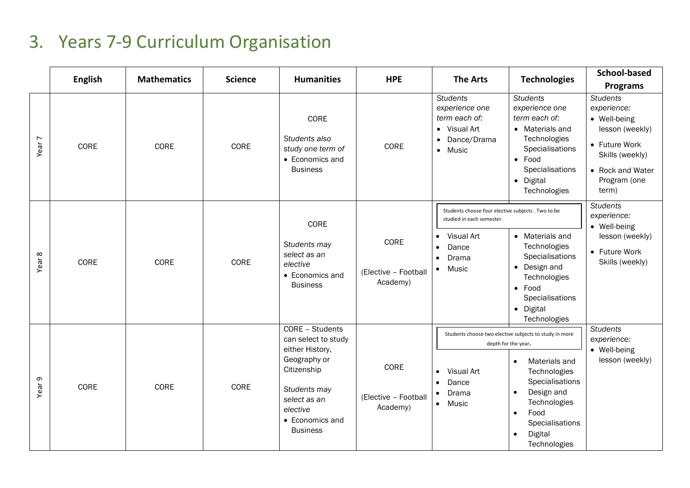### 3. Years 7-9 Curriculum Organisation

<span id="page-5-0"></span>

|                   | <b>English</b> | <b>Mathematics</b> | <b>Science</b> | <b>Humanities</b>                                                                                                                                                          | <b>HPE</b>                               | <b>The Arts</b>                                                                                                            | <b>Technologies</b>                                                                                                                                                                                                                                                       | <b>School-based</b><br><b>Programs</b>                                                                                                             |
|-------------------|----------------|--------------------|----------------|----------------------------------------------------------------------------------------------------------------------------------------------------------------------------|------------------------------------------|----------------------------------------------------------------------------------------------------------------------------|---------------------------------------------------------------------------------------------------------------------------------------------------------------------------------------------------------------------------------------------------------------------------|----------------------------------------------------------------------------------------------------------------------------------------------------|
| Year <sub>7</sub> | CORE           | CORE               | CORE           | CORE<br>Students also<br>study one term of<br>• Economics and<br><b>Business</b>                                                                                           | CORE                                     | <b>Students</b><br>experience one<br>term each of:<br>• Visual Art<br>Dance/Drama<br>• Music                               | <b>Students</b><br>experience one<br>term each of:<br>• Materials and<br>Technologies<br>Specialisations<br>$\bullet$ Food<br>Specialisations<br>· Digital<br>Technologies                                                                                                | <b>Students</b><br>experience:<br>• Well-being<br>lesson (weekly)<br>• Future Work<br>Skills (weekly)<br>• Rock and Water<br>Program (one<br>term) |
| $\infty$<br>Year  | CORE           | CORE               | CORE           | CORE<br>Students may<br>select as an<br>elective<br>• Economics and<br><b>Business</b>                                                                                     | CORE<br>(Elective - Football<br>Academy) | Students choose four elective subjects . Two to be<br>studied in each semester.<br>Visual Art<br>Dance<br>Drama<br>• Music | • Materials and<br>Technologies<br>Specialisations<br>• Design and<br>Technologies<br>$\bullet$ Food<br>Specialisations<br>· Digital<br>Technologies                                                                                                                      | <b>Students</b><br>experience:<br>• Well-being<br>lesson (weekly)<br>• Future Work<br>Skills (weekly)                                              |
| G<br>Year:        | CORE           | CORE               | CORE           | CORE - Students<br>can select to study<br>either History,<br>Geography or<br>Citizenship<br>Students may<br>select as an<br>elective<br>• Economics and<br><b>Business</b> | CORE<br>(Elective - Football<br>Academy) | Visual Art<br>Dance<br>$\bullet$<br>Drama<br>• Music                                                                       | Students choose two elective subjects to study in more<br>depth for the year.<br>Materials and<br>$\bullet$<br>Technologies<br>Specialisations<br>Design and<br>$\bullet$<br>Technologies<br>Food<br>$\bullet$<br>Specialisations<br>Digital<br>$\bullet$<br>Technologies | <b>Students</b><br>experience:<br>• Well-being<br>lesson (weekly)                                                                                  |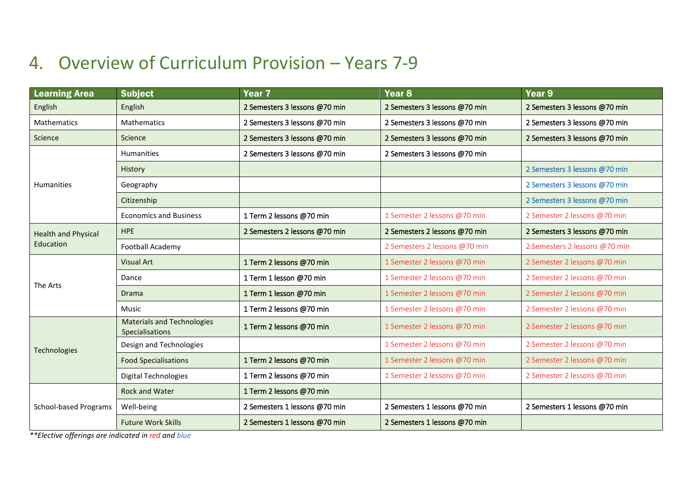### 4. Overview of Curriculum Provision – Years 7-9

<span id="page-6-0"></span>

| <b>Learning Area</b>         | <b>Subject</b>                                       | Year <sub>7</sub>             | Year <sub>8</sub>             | Year <sub>9</sub>             |
|------------------------------|------------------------------------------------------|-------------------------------|-------------------------------|-------------------------------|
| English                      | English                                              | 2 Semesters 3 lessons @70 min | 2 Semesters 3 lessons @70 min | 2 Semesters 3 lessons @70 min |
| Mathematics                  | <b>Mathematics</b>                                   | 2 Semesters 3 lessons @70 min | 2 Semesters 3 lessons @70 min | 2 Semesters 3 lessons @70 min |
| Science                      | Science                                              | 2 Semesters 3 lessons @70 min | 2 Semesters 3 lessons @70 min | 2 Semesters 3 lessons @70 min |
|                              | <b>Humanities</b>                                    | 2 Semesters 3 lessons @70 min | 2 Semesters 3 lessons @70 min |                               |
|                              | History                                              |                               |                               | 2 Semesters 3 lessons @70 min |
| <b>Humanities</b>            | Geography                                            |                               |                               | 2 Semesters 3 lessons @70 min |
|                              | Citizenship                                          |                               |                               | 2 Semesters 3 lessons @70 min |
|                              | <b>Economics and Business</b>                        | 1 Term 2 lessons @70 min      | 1 Semester 2 lessons @70 min  | 2 Semester 2 lessons @70 min  |
| <b>Health and Physical</b>   | <b>HPE</b>                                           | 2 Semesters 2 lessons @70 min | 2 Semesters 2 lessons @70 min | 2 Semesters 3 lessons @70 min |
| Education                    | Football Academy                                     |                               | 2 Semesters 2 lessons @70 min | 2 Semesters 2 lessons @70 min |
|                              | <b>Visual Art</b>                                    | 1 Term 2 lessons @70 min      | 1 Semester 2 lessons @70 min  | 2 Semester 2 lessons @70 min  |
| The Arts                     | Dance                                                | 1 Term 1 lesson @70 min       | 1 Semester 2 lessons @70 min  | 2 Semester 2 lessons @70 min  |
|                              | <b>Drama</b>                                         | 1 Term 1 lesson @70 min       | 1 Semester 2 lessons @70 min  | 2 Semester 2 lessons @70 min  |
|                              | Music                                                | 1 Term 2 lessons @70 min      | 1 Semester 2 lessons @70 min  | 2 Semester 2 lessons @70 min  |
|                              | <b>Materials and Technologies</b><br>Specialisations | 1 Term 2 lessons @70 min      | 1 Semester 2 lessons @70 min  | 2 Semester 2 lessons @70 min  |
| <b>Technologies</b>          | Design and Technologies                              |                               | 1 Semester 2 lessons @70 min  | 2 Semester 2 lessons @70 min  |
|                              | <b>Food Specialisations</b>                          | 1 Term 2 lessons @70 min      | 1 Semester 2 lessons @70 min  | 2 Semester 2 lessons @70 min  |
|                              | <b>Digital Technologies</b>                          | 1 Term 2 lessons @70 min      | 1 Semester 2 lessons @70 min  | 2 Semester 2 lessons @70 min  |
|                              | <b>Rock and Water</b>                                | 1 Term 2 lessons @70 min      |                               |                               |
| <b>School-based Programs</b> | Well-being                                           | 2 Semesters 1 lessons @70 min | 2 Semesters 1 lessons @70 min | 2 Semesters 1 lessons @70 min |
|                              | <b>Future Work Skills</b>                            | 2 Semesters 1 lessons @70 min | 2 Semesters 1 lessons @70 min |                               |

*\*\*Elective offerings are indicated in red and blue*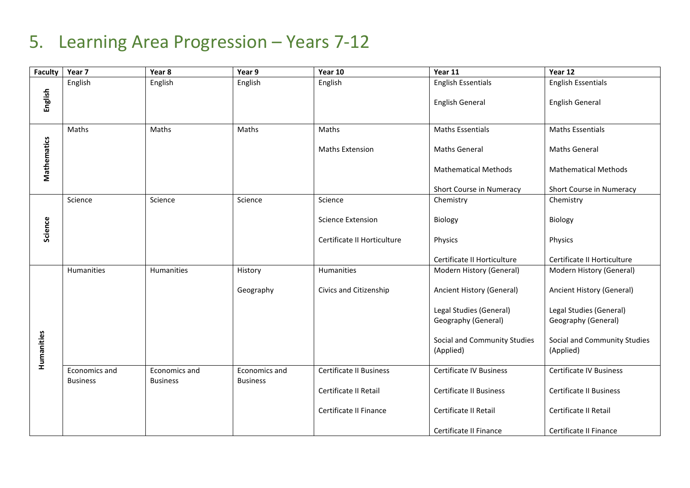### 5. Learning Area Progression – Years 7-12

<span id="page-7-0"></span>

| <b>Faculty</b> | Year 7                           | Year 8                           | Year 9                           | Year 10                        | Year 11                                        | Year 12                                        |
|----------------|----------------------------------|----------------------------------|----------------------------------|--------------------------------|------------------------------------------------|------------------------------------------------|
|                | English                          | English                          | English                          | English                        | <b>English Essentials</b>                      | <b>English Essentials</b>                      |
| English        |                                  |                                  |                                  |                                | <b>English General</b>                         | <b>English General</b>                         |
|                | Maths                            | Maths                            | Maths                            | Maths                          | <b>Maths Essentials</b>                        | <b>Maths Essentials</b>                        |
| Mathematics    |                                  |                                  |                                  | <b>Maths Extension</b>         | <b>Maths General</b>                           | <b>Maths General</b>                           |
|                |                                  |                                  |                                  |                                | <b>Mathematical Methods</b>                    | <b>Mathematical Methods</b>                    |
|                |                                  |                                  |                                  |                                | Short Course in Numeracy                       | Short Course in Numeracy                       |
|                | Science                          | Science                          | Science                          | Science                        | Chemistry                                      | Chemistry                                      |
| Science        |                                  |                                  |                                  | <b>Science Extension</b>       | Biology                                        | Biology                                        |
|                |                                  |                                  |                                  | Certificate II Horticulture    | Physics                                        | Physics                                        |
|                |                                  |                                  |                                  |                                | Certificate II Horticulture                    | Certificate II Horticulture                    |
|                | Humanities                       | Humanities                       | History                          | Humanities                     | Modern History (General)                       | Modern History (General)                       |
|                |                                  |                                  | Geography                        | Civics and Citizenship         | Ancient History (General)                      | Ancient History (General)                      |
|                |                                  |                                  |                                  |                                | Legal Studies (General)<br>Geography (General) | Legal Studies (General)<br>Geography (General) |
|                |                                  |                                  |                                  |                                |                                                |                                                |
| Humanities     |                                  |                                  |                                  |                                | Social and Community Studies<br>(Applied)      | Social and Community Studies<br>(Applied)      |
|                | Economics and<br><b>Business</b> | Economics and<br><b>Business</b> | Economics and<br><b>Business</b> | <b>Certificate II Business</b> | <b>Certificate IV Business</b>                 | <b>Certificate IV Business</b>                 |
|                |                                  |                                  |                                  | Certificate II Retail          | <b>Certificate II Business</b>                 | <b>Certificate II Business</b>                 |
|                |                                  |                                  |                                  | Certificate II Finance         | Certificate II Retail                          | Certificate II Retail                          |
|                |                                  |                                  |                                  |                                | Certificate II Finance                         | Certificate II Finance                         |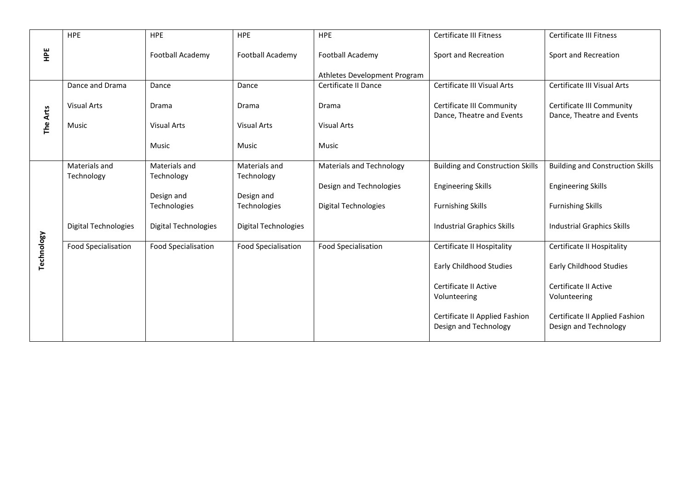|            | <b>HPE</b>                  | <b>HPE</b>                  | <b>HPE</b>           | HPE                             | <b>Certificate III Fitness</b>                          | <b>Certificate III Fitness</b>                          |
|------------|-----------------------------|-----------------------------|----------------------|---------------------------------|---------------------------------------------------------|---------------------------------------------------------|
| 읲          |                             | Football Academy            | Football Academy     | Football Academy                | Sport and Recreation                                    | Sport and Recreation                                    |
|            |                             |                             |                      | Athletes Development Program    |                                                         |                                                         |
|            | Dance and Drama             | Dance                       | Dance                | Certificate II Dance            | Certificate III Visual Arts                             | Certificate III Visual Arts                             |
|            | <b>Visual Arts</b>          | Drama                       | Drama                | Drama                           | Certificate III Community<br>Dance, Theatre and Events  | Certificate III Community<br>Dance, Theatre and Events  |
| The Arts   | Music                       | <b>Visual Arts</b>          | <b>Visual Arts</b>   | <b>Visual Arts</b>              |                                                         |                                                         |
|            |                             | Music                       | Music                | Music                           |                                                         |                                                         |
|            | Materials and               | Materials and               | Materials and        | <b>Materials and Technology</b> | <b>Building and Construction Skills</b>                 | <b>Building and Construction Skills</b>                 |
|            | Technology                  | Technology                  | Technology           |                                 |                                                         |                                                         |
|            |                             | Design and                  | Design and           | Design and Technologies         | <b>Engineering Skills</b>                               | <b>Engineering Skills</b>                               |
|            |                             | Technologies                | <b>Technologies</b>  | <b>Digital Technologies</b>     | <b>Furnishing Skills</b>                                | <b>Furnishing Skills</b>                                |
|            | <b>Digital Technologies</b> | <b>Digital Technologies</b> | Digital Technologies |                                 | <b>Industrial Graphics Skills</b>                       | <b>Industrial Graphics Skills</b>                       |
|            | <b>Food Specialisation</b>  | <b>Food Specialisation</b>  | Food Specialisation  | <b>Food Specialisation</b>      | Certificate II Hospitality                              | Certificate II Hospitality                              |
| Technology |                             |                             |                      |                                 | Early Childhood Studies                                 | Early Childhood Studies                                 |
|            |                             |                             |                      |                                 | Certificate II Active<br>Volunteering                   | Certificate II Active<br>Volunteering                   |
|            |                             |                             |                      |                                 | Certificate II Applied Fashion<br>Design and Technology | Certificate II Applied Fashion<br>Design and Technology |
|            |                             |                             |                      |                                 |                                                         |                                                         |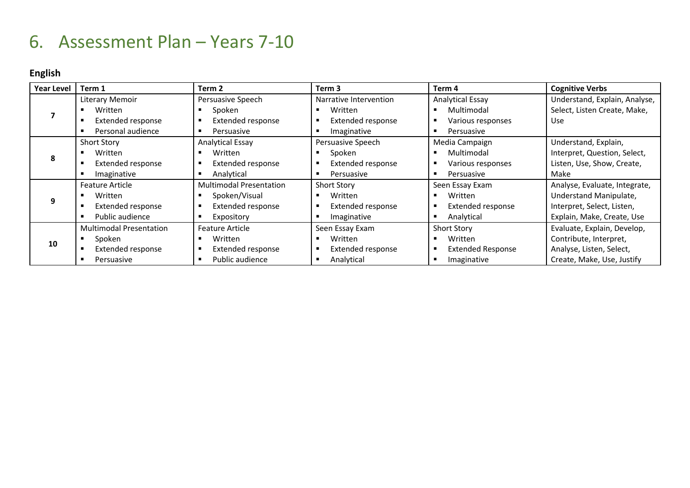### 6. Assessment Plan – Years 7-10

### **English**

<span id="page-9-0"></span>

| <b>Year Level</b> | Term 1                         | Term 2                         | Term 3                   | Term 4                   | <b>Cognitive Verbs</b>        |
|-------------------|--------------------------------|--------------------------------|--------------------------|--------------------------|-------------------------------|
|                   | Literary Memoir                | Persuasive Speech              | Narrative Intervention   | <b>Analytical Essay</b>  | Understand, Explain, Analyse, |
|                   | Written                        | Spoken                         | Written                  | Multimodal               | Select, Listen Create, Make,  |
|                   | <b>Extended response</b>       | <b>Extended response</b>       | Extended response        | Various responses        | Use                           |
|                   | Personal audience              | Persuasive                     | Imaginative              | Persuasive               |                               |
|                   | <b>Short Story</b>             | Analytical Essay               | Persuasive Speech        | Media Campaign           | Understand, Explain,          |
| 8                 | Written                        | Written                        | Spoken                   | Multimodal               | Interpret, Question, Select,  |
|                   | <b>Extended response</b>       | <b>Extended response</b>       | <b>Extended response</b> | Various responses        | Listen, Use, Show, Create,    |
|                   | Imaginative                    | Analytical                     | Persuasive               | Persuasive               | Make                          |
|                   | <b>Feature Article</b>         | <b>Multimodal Presentation</b> | <b>Short Story</b>       | Seen Essay Exam          | Analyse, Evaluate, Integrate, |
|                   | Written                        | Spoken/Visual                  | Written                  | Written                  | Understand Manipulate,        |
|                   | <b>Extended response</b>       | Extended response              | Extended response        | Extended response        | Interpret, Select, Listen,    |
|                   | Public audience                | Expository                     | Imaginative              | Analytical               | Explain, Make, Create, Use    |
|                   | <b>Multimodal Presentation</b> | Feature Article                | Seen Essay Exam          | <b>Short Story</b>       | Evaluate, Explain, Develop,   |
| 10                | Spoken                         | Written                        | Written                  | Written                  | Contribute, Interpret,        |
|                   | <b>Extended response</b>       | Extended response              | Extended response        | <b>Extended Response</b> | Analyse, Listen, Select,      |
|                   | Persuasive                     | Public audience                | Analytical               | Imaginative              | Create, Make, Use, Justify    |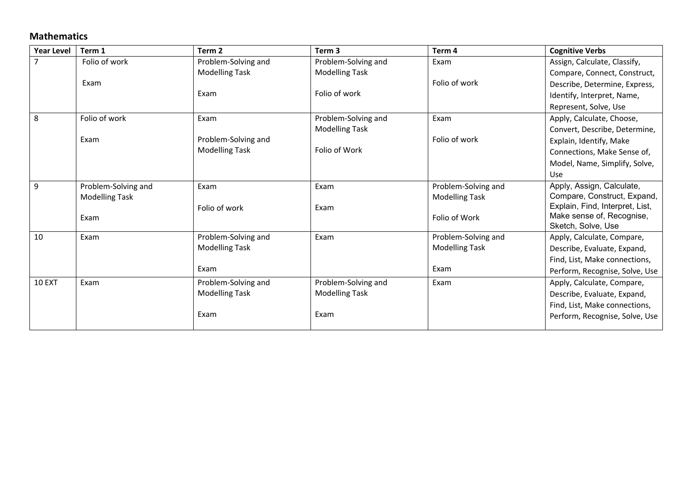#### **Mathematics**

| <b>Year Level</b> | Term 1                | Term <sub>2</sub>     | Term 3                | Term <sub>4</sub>     | <b>Cognitive Verbs</b>          |
|-------------------|-----------------------|-----------------------|-----------------------|-----------------------|---------------------------------|
|                   | Folio of work         | Problem-Solving and   | Problem-Solving and   | Exam                  | Assign, Calculate, Classify,    |
|                   |                       | <b>Modelling Task</b> | <b>Modelling Task</b> |                       | Compare, Connect, Construct,    |
|                   | Exam                  |                       |                       | Folio of work         | Describe, Determine, Express,   |
|                   |                       | Exam                  | Folio of work         |                       | Identify, Interpret, Name,      |
|                   |                       |                       |                       |                       | Represent, Solve, Use           |
| 8                 | Folio of work         | Exam                  | Problem-Solving and   | Exam                  | Apply, Calculate, Choose,       |
|                   |                       |                       | <b>Modelling Task</b> |                       | Convert, Describe, Determine,   |
|                   | Exam                  | Problem-Solving and   |                       | Folio of work         | Explain, Identify, Make         |
|                   |                       | <b>Modelling Task</b> | Folio of Work         |                       | Connections, Make Sense of,     |
|                   |                       |                       |                       |                       | Model, Name, Simplify, Solve,   |
|                   |                       |                       |                       |                       | Use                             |
| 9                 | Problem-Solving and   | Exam                  | Exam                  | Problem-Solving and   | Apply, Assign, Calculate,       |
|                   | <b>Modelling Task</b> |                       |                       | <b>Modelling Task</b> | Compare, Construct, Expand,     |
|                   |                       | Folio of work         | Exam                  |                       | Explain, Find, Interpret, List, |
|                   | Exam                  |                       |                       | Folio of Work         | Make sense of, Recognise,       |
| 10                | Exam                  |                       | Exam                  | Problem-Solving and   | Sketch, Solve, Use              |
|                   |                       | Problem-Solving and   |                       |                       | Apply, Calculate, Compare,      |
|                   |                       | <b>Modelling Task</b> |                       | <b>Modelling Task</b> | Describe, Evaluate, Expand,     |
|                   |                       | Exam                  |                       | Exam                  | Find, List, Make connections,   |
|                   |                       |                       |                       |                       | Perform, Recognise, Solve, Use  |
| <b>10 EXT</b>     | Exam                  | Problem-Solving and   | Problem-Solving and   | Exam                  | Apply, Calculate, Compare,      |
|                   |                       | <b>Modelling Task</b> | <b>Modelling Task</b> |                       | Describe, Evaluate, Expand,     |
|                   |                       |                       |                       |                       | Find, List, Make connections,   |
|                   |                       | Exam                  | Exam                  |                       | Perform, Recognise, Solve, Use  |
|                   |                       |                       |                       |                       |                                 |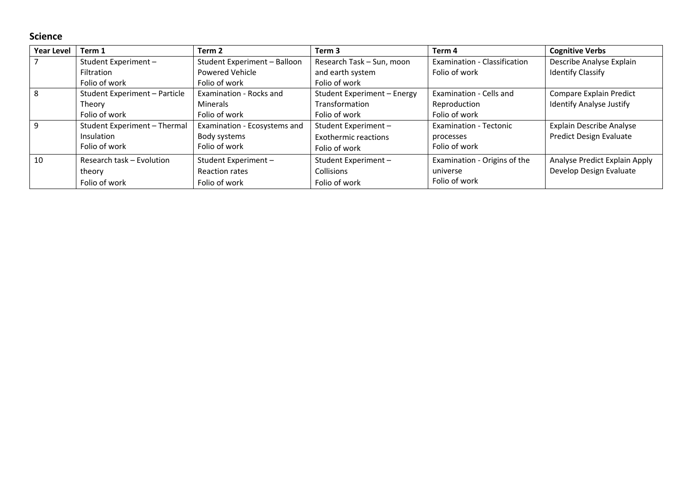#### **Science**

| <b>Year Level</b> | Term 1                        | Term 2                       | Term <sub>3</sub>           | Term 4                        | <b>Cognitive Verbs</b>          |
|-------------------|-------------------------------|------------------------------|-----------------------------|-------------------------------|---------------------------------|
|                   | Student Experiment -          | Student Experiment - Balloon | Research Task - Sun, moon   | Examination - Classification  | Describe Analyse Explain        |
|                   | <b>Filtration</b>             | <b>Powered Vehicle</b>       | and earth system            | Folio of work                 | <b>Identify Classify</b>        |
|                   | Folio of work                 | Folio of work                | Folio of work               |                               |                                 |
| 8                 | Student Experiment - Particle | Examination - Rocks and      | Student Experiment - Energy | Examination - Cells and       | Compare Explain Predict         |
|                   | Theory                        | Minerals                     | Transformation              | Reproduction                  | <b>Identify Analyse Justify</b> |
|                   | Folio of work                 | Folio of work                | Folio of work               | Folio of work                 |                                 |
| $\mathsf{q}$      | Student Experiment - Thermal  | Examination - Ecosystems and | Student Experiment-         | <b>Examination - Tectonic</b> | <b>Explain Describe Analyse</b> |
|                   | <b>Insulation</b>             | Body systems                 | <b>Exothermic reactions</b> | processes                     | <b>Predict Design Evaluate</b>  |
|                   | Folio of work                 | Folio of work                | Folio of work               | Folio of work                 |                                 |
| 10                | Research task - Evolution     | Student Experiment-          | Student Experiment-         | Examination - Origins of the  | Analyse Predict Explain Apply   |
|                   | theory                        | Reaction rates               | Collisions                  | universe                      | Develop Design Evaluate         |
|                   | Folio of work                 | Folio of work                | Folio of work               | Folio of work                 |                                 |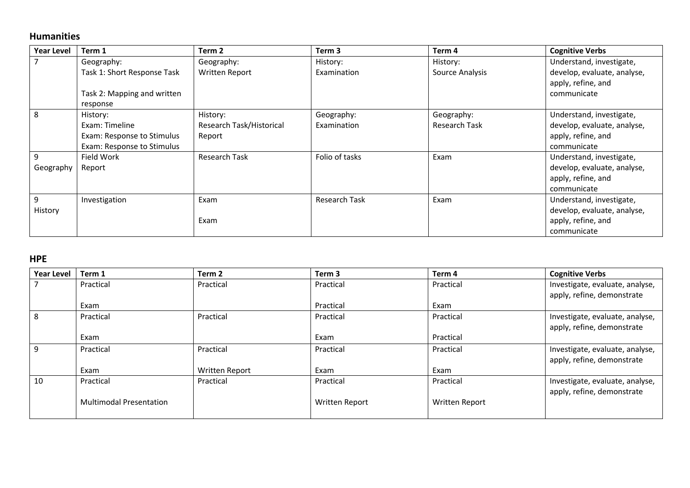#### **Humanities**

| <b>Year Level</b> | Term 1                      | Term 2                   | Term 3               | Term 4               | <b>Cognitive Verbs</b>      |
|-------------------|-----------------------------|--------------------------|----------------------|----------------------|-----------------------------|
|                   | Geography:                  | Geography:               | History:             | History:             | Understand, investigate,    |
|                   | Task 1: Short Response Task | Written Report           | Examination          | Source Analysis      | develop, evaluate, analyse, |
|                   |                             |                          |                      |                      | apply, refine, and          |
|                   | Task 2: Mapping and written |                          |                      |                      | communicate                 |
|                   | response                    |                          |                      |                      |                             |
| 8                 | History:                    | History:                 | Geography:           | Geography:           | Understand, investigate,    |
|                   | Exam: Timeline              | Research Task/Historical | Examination          | <b>Research Task</b> | develop, evaluate, analyse, |
|                   | Exam: Response to Stimulus  | Report                   |                      |                      | apply, refine, and          |
|                   | Exam: Response to Stimulus  |                          |                      |                      | communicate                 |
| 9                 | Field Work                  | <b>Research Task</b>     | Folio of tasks       | Exam                 | Understand, investigate,    |
| Geography         | Report                      |                          |                      |                      | develop, evaluate, analyse, |
|                   |                             |                          |                      |                      | apply, refine, and          |
|                   |                             |                          |                      |                      | communicate                 |
| 9                 | Investigation               | Exam                     | <b>Research Task</b> | Exam                 | Understand, investigate,    |
| History           |                             |                          |                      |                      | develop, evaluate, analyse, |
|                   |                             | Exam                     |                      |                      | apply, refine, and          |
|                   |                             |                          |                      |                      | communicate                 |

#### **HPE**

| <b>Year Level</b> | Term 1                         | Term 2                | Term <sub>3</sub> | Term 4                | <b>Cognitive Verbs</b>          |
|-------------------|--------------------------------|-----------------------|-------------------|-----------------------|---------------------------------|
|                   | Practical                      | Practical             | Practical         | Practical             | Investigate, evaluate, analyse, |
|                   |                                |                       |                   |                       | apply, refine, demonstrate      |
|                   | Exam                           |                       | Practical         | Exam                  |                                 |
| 8                 | Practical                      | Practical             | Practical         | Practical             | Investigate, evaluate, analyse, |
|                   |                                |                       |                   |                       | apply, refine, demonstrate      |
|                   | Exam                           |                       | Exam              | Practical             |                                 |
| 9                 | Practical                      | Practical             | Practical         | Practical             | Investigate, evaluate, analyse, |
|                   |                                |                       |                   |                       | apply, refine, demonstrate      |
|                   | Exam                           | <b>Written Report</b> | Exam              | Exam                  |                                 |
| 10                | Practical                      | Practical             | Practical         | Practical             | Investigate, evaluate, analyse, |
|                   |                                |                       |                   |                       | apply, refine, demonstrate      |
|                   | <b>Multimodal Presentation</b> |                       | Written Report    | <b>Written Report</b> |                                 |
|                   |                                |                       |                   |                       |                                 |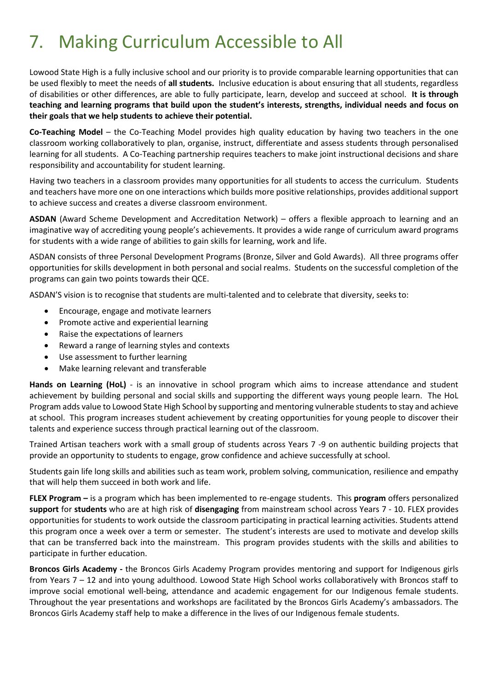# <span id="page-13-0"></span>7. Making Curriculum Accessible to All

Lowood State High is a fully inclusive school and our priority is to provide comparable learning opportunities that can be used flexibly to meet the needs of **all students.** Inclusive education is about ensuring that all students, regardless of disabilities or other differences, are able to fully participate, learn, develop and succeed at school. **It is through teaching and learning programs that build upon the student's interests, strengths, individual needs and focus on their goals that we help students to achieve their potential.** 

**Co-Teaching Model** – the Co-Teaching Model provides high quality education by having two teachers in the one classroom working collaboratively to plan, organise, instruct, differentiate and assess students through personalised learning for all students. A Co-Teaching partnership requires teachers to make joint instructional decisions and share responsibility and accountability for student learning.

Having two teachers in a classroom provides many opportunities for all students to access the curriculum. Students and teachers have more one on one interactions which builds more positive relationships, provides additional support to achieve success and creates a diverse classroom environment.

**ASDAN** (Award Scheme Development and Accreditation Network) – offers a flexible approach to learning and an imaginative way of accrediting young people's achievements. It provides a wide range of curriculum award programs for students with a wide range of abilities to gain skills for learning, work and life.

ASDAN consists of three Personal Development Programs (Bronze, Silver and Gold Awards). All three programs offer opportunities for skills development in both personal and social realms. Students on the successful completion of the programs can gain two points towards their QCE.

ASDAN'S vision is to recognise that students are multi-talented and to celebrate that diversity, seeks to:

- Encourage, engage and motivate learners
- Promote active and experiential learning
- Raise the expectations of learners
- Reward a range of learning styles and contexts
- Use assessment to further learning
- Make learning relevant and transferable

**Hands on Learning (HoL)** - is an innovative in school program which aims to increase attendance and student achievement by building personal and social skills and supporting the different ways young people learn. The HoL Program adds value to Lowood State High School by supporting and mentoring vulnerable students to stay and achieve at school. This program increases student achievement by creating opportunities for young people to discover their talents and experience success through practical learning out of the classroom.

Trained Artisan teachers work with a small group of students across Years 7 -9 on authentic building projects that provide an opportunity to students to engage, grow confidence and achieve successfully at school.

Students gain life long skills and abilities such as team work, problem solving, communication, resilience and empathy that will help them succeed in both work and life.

**FLEX Program –** is a program which has been implemented to re-engage students. This **program** offers personalized **support** for **students** who are at high risk of **disengaging** from mainstream school across Years 7 - 10. FLEX provides opportunities for students to work outside the classroom participating in practical learning activities. Students attend this program once a week over a term or semester. The student's interests are used to motivate and develop skills that can be transferred back into the mainstream. This program provides students with the skills and abilities to participate in further education.

**Broncos Girls Academy -** the Broncos Girls Academy Program provides mentoring and support for Indigenous girls from Years 7 – 12 and into young adulthood. Lowood State High School works collaboratively with Broncos staff to improve social emotional well-being, attendance and academic engagement for our Indigenous female students. Throughout the year presentations and workshops are facilitated by the Broncos Girls Academy's ambassadors. The Broncos Girls Academy staff help to make a difference in the lives of our Indigenous female students.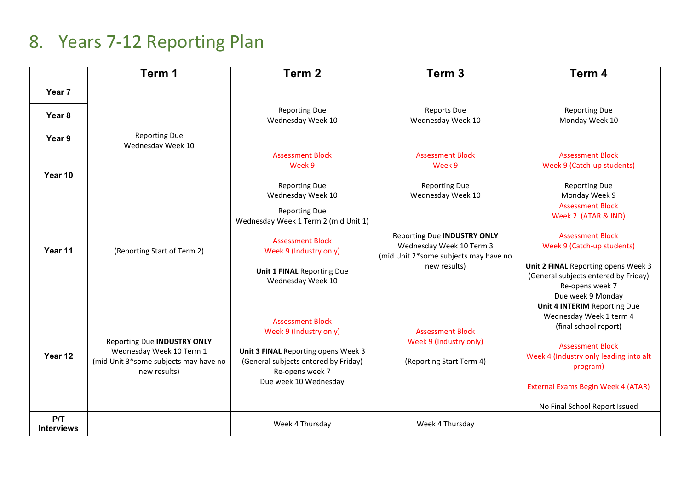## 8. Years 7-12 Reporting Plan

<span id="page-14-0"></span>

|                          | Term 1                                                                                                                  | Term <sub>2</sub>                                                                                                                                                                                | Term <sub>3</sub>                                                                                                                            | Term <sub>4</sub>                                                                                                                                                                                                                               |
|--------------------------|-------------------------------------------------------------------------------------------------------------------------|--------------------------------------------------------------------------------------------------------------------------------------------------------------------------------------------------|----------------------------------------------------------------------------------------------------------------------------------------------|-------------------------------------------------------------------------------------------------------------------------------------------------------------------------------------------------------------------------------------------------|
| Year 7                   |                                                                                                                         |                                                                                                                                                                                                  |                                                                                                                                              |                                                                                                                                                                                                                                                 |
| Year <sub>8</sub>        |                                                                                                                         | <b>Reporting Due</b><br>Wednesday Week 10                                                                                                                                                        | <b>Reports Due</b><br>Wednesday Week 10                                                                                                      | <b>Reporting Due</b><br>Monday Week 10                                                                                                                                                                                                          |
| Year 9                   | <b>Reporting Due</b><br>Wednesday Week 10                                                                               |                                                                                                                                                                                                  |                                                                                                                                              |                                                                                                                                                                                                                                                 |
| Year 10                  |                                                                                                                         | <b>Assessment Block</b><br>Week 9<br><b>Reporting Due</b>                                                                                                                                        | <b>Assessment Block</b><br>Week 9<br><b>Reporting Due</b>                                                                                    | <b>Assessment Block</b><br>Week 9 (Catch-up students)<br><b>Reporting Due</b>                                                                                                                                                                   |
| Year 11                  | (Reporting Start of Term 2)                                                                                             | Wednesday Week 10<br><b>Reporting Due</b><br>Wednesday Week 1 Term 2 (mid Unit 1)<br><b>Assessment Block</b><br>Week 9 (Industry only)<br><b>Unit 1 FINAL Reporting Due</b><br>Wednesday Week 10 | Wednesday Week 10<br><b>Reporting Due INDUSTRY ONLY</b><br>Wednesday Week 10 Term 3<br>(mid Unit 2*some subjects may have no<br>new results) | Monday Week 9<br><b>Assessment Block</b><br>Week 2 (ATAR & IND)<br><b>Assessment Block</b><br>Week 9 (Catch-up students)<br>Unit 2 FINAL Reporting opens Week 3<br>(General subjects entered by Friday)<br>Re-opens week 7<br>Due week 9 Monday |
| Year 12                  | <b>Reporting Due INDUSTRY ONLY</b><br>Wednesday Week 10 Term 1<br>(mid Unit 3*some subjects may have no<br>new results) | <b>Assessment Block</b><br>Week 9 (Industry only)<br>Unit 3 FINAL Reporting opens Week 3<br>(General subjects entered by Friday)<br>Re-opens week 7<br>Due week 10 Wednesday                     | <b>Assessment Block</b><br>Week 9 (Industry only)<br>(Reporting Start Term 4)                                                                | Unit 4 INTERIM Reporting Due<br>Wednesday Week 1 term 4<br>(final school report)<br><b>Assessment Block</b><br>Week 4 (Industry only leading into alt<br>program)<br>External Exams Begin Week 4 (ATAR)<br>No Final School Report Issued        |
| P/T<br><b>Interviews</b> |                                                                                                                         | Week 4 Thursday                                                                                                                                                                                  | Week 4 Thursday                                                                                                                              |                                                                                                                                                                                                                                                 |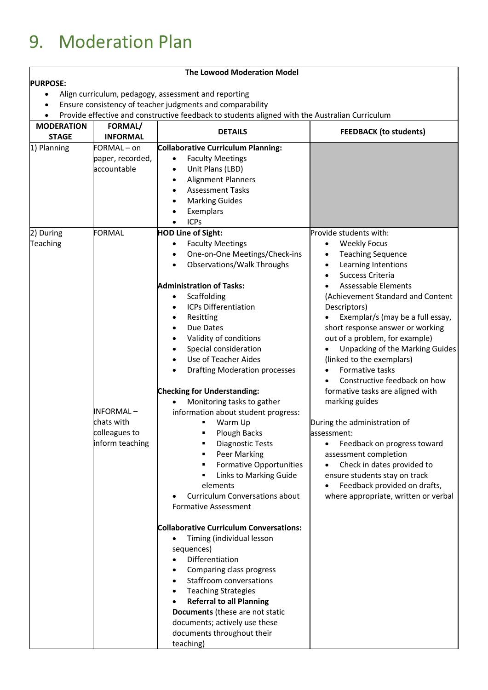# <span id="page-15-0"></span>9. Moderation Plan

#### **The Lowood Moderation Model**

#### **PURPOSE:**

- Align curriculum, pedagogy, assessment and reporting
- Ensure consistency of teacher judgments and comparability

• Provide effective and constructive feedback to students aligned with the Australian Curriculum

| <b>MODERATION</b>     | <b>FORMAL/</b>                                              |                                                                                                                                                                                                                                                                                                                                                                                                                                                                                                                                                                                                                                                                                                                                                                                                                                                                                                                                                                                                                                                                                                                                                                                | <b>FEEDBACK (to students)</b>                                                                                                                                                                                                                                                                                                                                                                                                                                                                                                                                                                                                                                                                                               |  |
|-----------------------|-------------------------------------------------------------|--------------------------------------------------------------------------------------------------------------------------------------------------------------------------------------------------------------------------------------------------------------------------------------------------------------------------------------------------------------------------------------------------------------------------------------------------------------------------------------------------------------------------------------------------------------------------------------------------------------------------------------------------------------------------------------------------------------------------------------------------------------------------------------------------------------------------------------------------------------------------------------------------------------------------------------------------------------------------------------------------------------------------------------------------------------------------------------------------------------------------------------------------------------------------------|-----------------------------------------------------------------------------------------------------------------------------------------------------------------------------------------------------------------------------------------------------------------------------------------------------------------------------------------------------------------------------------------------------------------------------------------------------------------------------------------------------------------------------------------------------------------------------------------------------------------------------------------------------------------------------------------------------------------------------|--|
| <b>STAGE</b>          | <b>INFORMAL</b>                                             | <b>DETAILS</b>                                                                                                                                                                                                                                                                                                                                                                                                                                                                                                                                                                                                                                                                                                                                                                                                                                                                                                                                                                                                                                                                                                                                                                 |                                                                                                                                                                                                                                                                                                                                                                                                                                                                                                                                                                                                                                                                                                                             |  |
| 1) Planning           | FORMAL-on<br>paper, recorded,<br>accountable<br>FORMAL      | <b>Collaborative Curriculum Planning:</b><br><b>Faculty Meetings</b><br>$\bullet$<br>Unit Plans (LBD)<br>$\bullet$<br><b>Alignment Planners</b><br>$\bullet$<br><b>Assessment Tasks</b><br>$\bullet$<br><b>Marking Guides</b><br>$\bullet$<br>Exemplars<br><b>ICPs</b><br>$\bullet$<br><b>HOD Line of Sight:</b>                                                                                                                                                                                                                                                                                                                                                                                                                                                                                                                                                                                                                                                                                                                                                                                                                                                               | Provide students with:                                                                                                                                                                                                                                                                                                                                                                                                                                                                                                                                                                                                                                                                                                      |  |
| 2) During<br>Teaching | INFORMAL-<br>chats with<br>colleagues to<br>inform teaching | <b>Faculty Meetings</b><br>One-on-One Meetings/Check-ins<br>Observations/Walk Throughs<br><b>Administration of Tasks:</b><br>Scaffolding<br>$\bullet$<br>ICPs Differentiation<br>$\bullet$<br>Resitting<br>$\bullet$<br>Due Dates<br>$\bullet$<br>Validity of conditions<br>$\bullet$<br>Special consideration<br>Use of Teacher Aides<br>$\bullet$<br><b>Drafting Moderation processes</b><br>$\bullet$<br><b>Checking for Understanding:</b><br>Monitoring tasks to gather<br>information about student progress:<br>Warm Up<br>٠<br><b>Plough Backs</b><br><b>Diagnostic Tests</b><br>٠<br>Peer Marking<br>٠<br><b>Formative Opportunities</b><br>п<br>Links to Marking Guide<br>elements<br><b>Curriculum Conversations about</b><br><b>Formative Assessment</b><br><b>Collaborative Curriculum Conversations:</b><br>Timing (individual lesson<br>$\bullet$<br>sequences)<br>Differentiation<br>Comparing class progress<br><b>Staffroom conversations</b><br>$\bullet$<br><b>Teaching Strategies</b><br>$\bullet$<br><b>Referral to all Planning</b><br>٠<br>Documents (these are not static<br>documents; actively use these<br>documents throughout their<br>teaching) | <b>Weekly Focus</b><br><b>Teaching Sequence</b><br>Learning Intentions<br>Success Criteria<br><b>Assessable Elements</b><br>(Achievement Standard and Content<br>Descriptors)<br>Exemplar/s (may be a full essay,<br>short response answer or working<br>out of a problem, for example)<br>Unpacking of the Marking Guides<br>(linked to the exemplars)<br>Formative tasks<br>Constructive feedback on how<br>formative tasks are aligned with<br>marking guides<br>During the administration of<br>assessment:<br>Feedback on progress toward<br>$\bullet$<br>assessment completion<br>Check in dates provided to<br>ensure students stay on track<br>Feedback provided on drafts,<br>where appropriate, written or verbal |  |